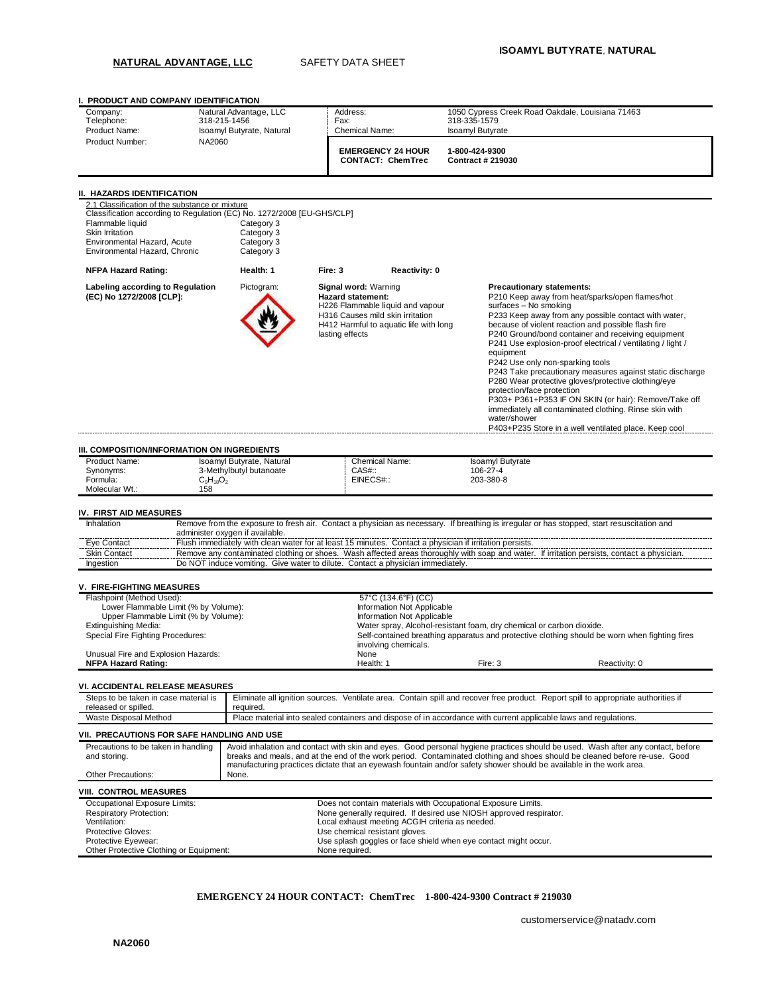## **NATURAL ADVANTAGE, LLC** SAFETY DATA SHEET

**I. PRODUCT AND COMPANY IDENTIFICATION** Company: Natural Advantage, LLC Address: 1050 Cypress Creek Road Oakdale, Louisiana 71463<br>
Telephone: 318-215-1456 Fax: 318-335-1579 79: Telephone: 318-215-1456 Fax: 318-335-1579 Product Name: Isoamyl Butyrate, Natural | Chemical Name: Isoamyl Butyrate Product Number: NA2060 **EMERGENCY 24 HOUR CONTACT: ChemTrec 1-800-424-9300 Contract # 219030 II. HAZARDS IDENTIFICATION** 2.1 Classification of the substance or mixture Classification according to Regulation (EC) No. 1272/2008 [EU-GHS/CLP] Flammable liquid<br>Skin Irritation Category 3<br>Category 3 Environmental Hazard, Acute Environmental Hazard, Chronic Category 3 **NFPA Hazard Rating: Health: 1 Fire: 3 Reactivity: 0 Labeling according to Regulation (EC) No 1272/2008 [CLP]:** Pictogram: **Signal word:** Warning **Hazard statement:** H226 Flammable liquid and vapour H316 Causes mild skin irritation H412 Harmful to aquatic life with long lasting effects **Precautionary statements:** P210 Keep away from heat/sparks/open flames/hot surfaces – No smoking P233 Keep away from any possible contact with water, because of violent reaction and possible flash fire P240 Ground/bond container and receiving equipment P241 Use explosion-proof electrical / ventilating / light / equipment P242 Use only non-sparking tools P243 Take precautionary measures against static discharge P280 Wear protective gloves/protective clothing/eye protection/face protection P303+ P361+P353 IF ON SKIN (or hair): Remove/Take off immediately all contaminated clothing. Rinse skin with water/showe P403+P235 Store in a well ventilated place. Keep cool **III. COMPOSITION/INFORMATION ON INGREDIENTS** Product Name: Isoamyl Butyrate, Natural Chemical Name: Isoamyl Butyrate<br>
Synonyms: 3-Methylbutyl butanoate CAS#:: 106-27-4 3-Methylbutyl butanoate CAS#:: 106-27-4<br>C<sub>s</sub>H<sub>18</sub>O<sub>2</sub> 203-380-8 Formula:  $C_9H_{18}O_2$  EINECS#:: 203-380-8 Molecular Wt.: 158 **IV. FIRST AID MEASURES** Inhalation Remove from the exposure to fresh air. Contact a physician as necessary. If breathing is irregular or has stopped, start resuscitation and administer oxygen if available. Eye Contact Flush immediately with clean water for at least 15 minutes. Contact a physician if irritation persists. Skin Contact Remove any contaminated clothing or shoes. Wash affected areas thoroughly with soap and water. If irritation persists, contact a physician Ingestion Do NOT induce vomiting. Give water to dilute. Contact a physician immediately. **V. FIRE-FIGHTING MEASURES** Flashpoint (Method Used): 57°C (134.6°F) (CC) Lower Flammable Limit (% by Volume):<br>
Upper Flammable Limit (% by Volume): Information Not Applicable<br>
Information Not Applicable Upper Flammable Limit (% by Volume):<br>Extinguishing Media: Extinguishing Media: The Communisty of the Mater Spray, Alcohol-resistant foam, dry chemical or carbon dioxide.<br>
Self-contained breathing apparatus and protective clothing should be Self-contained breathing apparatus and p Self-contained breathing apparatus and protective clothing should be worn when fighting fires involving chemicals. Unusual Fire and Explosion Hazards: None Wallen and Explosion Hazards: None Wallen Broadway (None Wallen)<br>
University of the Health: 1 **NFPA Hazard Rating:** The Maximum Computer of Health: 1 Fire: 3 **Reactivity: 0** Reactivity: 0 **VI. ACCIDENTAL RELEASE MEASURES** Steps to be taken in case material is released or spilled.<br>Waste Disposal Method Eliminate all ignition sources. Ventilate area. Contain spill and recover free product. Report spill to appropriate authorities if required. Place material into sealed containers and dispose of in accordance with current applicable laws and regulations. **VII. PRECAUTIONS FOR SAFE HANDLING AND USE** Precautions to be taken in handling and storing. Avoid inhalation and contact with skin and eyes. Good personal hygiene practices should be used. Wash after any contact, before breaks and meals, and at the end of the work period. Contaminated clothing and shoes should be cleaned before re-use. Good manufacturing practices dictate that an eyewash fountain and/or safety shower should be available in the work area. Other Precautions: None. **VIII. CONTROL MEASURES** Occupational Exposure Limits: <br>
Respiratory Protection: The Contain materials with Occupational Exposure Limits.<br>
None generally required. If desired use NIOSH approved respi Respiratory Protection: None generally required. If desired use NIOSH approved respirator.<br>Nentilation: Networkships are also assembly consider the control of the control of the consideration of the co Ventilation: The Content of the Content of the Content of the Content of the Content of the Content of the Content of the Content of the Content of the Content of the Content of the Content of the Content of the Content of Protective Gloves:<br>
Protective Eyewear:<br>
Protective Eyewear:<br>
Use splash googles or face sh Use splash goggles or face shield when eye contact might occur. Other Protective Clothing or Equipment: None required.

## **EMERGENCY 24 HOUR CONTACT: ChemTrec 1-800-424-9300 Contract # 219030**